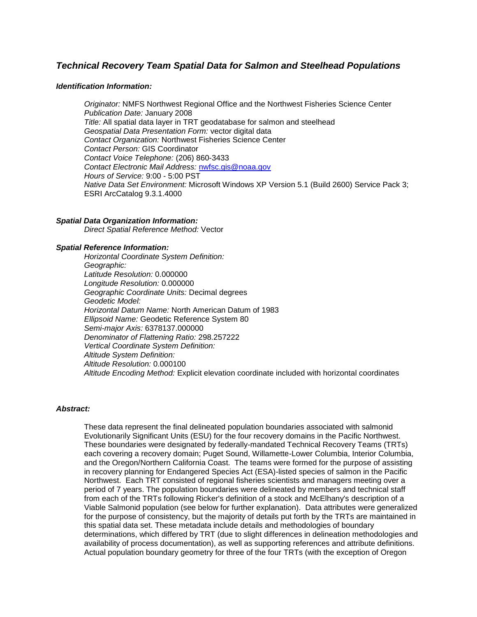# *Technical Recovery Team Spatial Data for Salmon and Steelhead Populations*

## *Identification Information:*

*Originator:* NMFS Northwest Regional Office and the Northwest Fisheries Science Center *Publication Date:* January 2008 *Title:* All spatial data layer in TRT geodatabase for salmon and steelhead *Geospatial Data Presentation Form:* vector digital data *Contact Organization:* Northwest Fisheries Science Center *Contact Person:* GIS Coordinator *Contact Voice Telephone:* (206) 860-3433 *Contact Electronic Mail Address:* [nwfsc.gis@noaa.gov](mailto:nwfsc.gis@noaa.gov) *Hours of Service:* 9:00 - 5:00 PST *Native Data Set Environment:* Microsoft Windows XP Version 5.1 (Build 2600) Service Pack 3; ESRI ArcCatalog 9.3.1.4000

## *Spatial Data Organization Information:*

*Direct Spatial Reference Method:* Vector

#### *Spatial Reference Information:*

*Horizontal Coordinate System Definition: Geographic: Latitude Resolution:* 0.000000 *Longitude Resolution:* 0.000000 *Geographic Coordinate Units:* Decimal degrees *Geodetic Model: Horizontal Datum Name:* North American Datum of 1983 *Ellipsoid Name:* Geodetic Reference System 80 *Semi-major Axis:* 6378137.000000 *Denominator of Flattening Ratio:* 298.257222 *Vertical Coordinate System Definition: Altitude System Definition: Altitude Resolution:* 0.000100 *Altitude Encoding Method:* Explicit elevation coordinate included with horizontal coordinates

# *Abstract:*

These data represent the final delineated population boundaries associated with salmonid Evolutionarily Significant Units (ESU) for the four recovery domains in the Pacific Northwest. These boundaries were designated by federally-mandated Technical Recovery Teams (TRTs) each covering a recovery domain; Puget Sound, Willamette-Lower Columbia, Interior Columbia, and the Oregon/Northern California Coast. The teams were formed for the purpose of assisting in recovery planning for Endangered Species Act (ESA)-listed species of salmon in the Pacific Northwest. Each TRT consisted of regional fisheries scientists and managers meeting over a period of 7 years. The population boundaries were delineated by members and technical staff from each of the TRTs following Ricker's definition of a stock and McElhany's description of a Viable Salmonid population (see below for further explanation). Data attributes were generalized for the purpose of consistency, but the majority of details put forth by the TRTs are maintained in this spatial data set. These metadata include details and methodologies of boundary determinations, which differed by TRT (due to slight differences in delineation methodologies and availability of process documentation), as well as supporting references and attribute definitions. Actual population boundary geometry for three of the four TRTs (with the exception of Oregon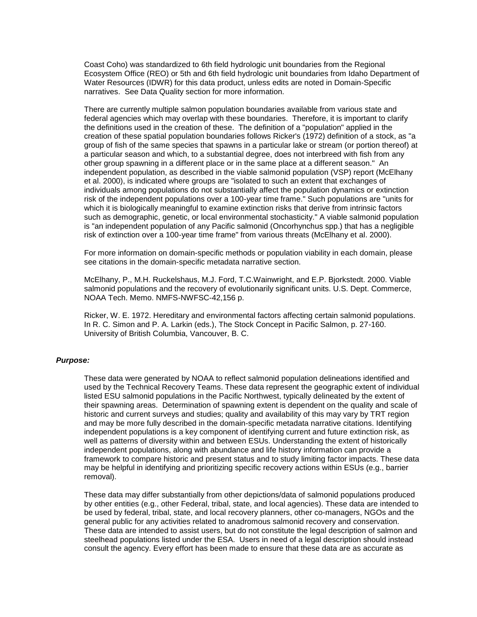Coast Coho) was standardized to 6th field hydrologic unit boundaries from the Regional Ecosystem Office (REO) or 5th and 6th field hydrologic unit boundaries from Idaho Department of Water Resources (IDWR) for this data product, unless edits are noted in Domain-Specific narratives. See Data Quality section for more information.

There are currently multiple salmon population boundaries available from various state and federal agencies which may overlap with these boundaries. Therefore, it is important to clarify the definitions used in the creation of these. The definition of a "population" applied in the creation of these spatial population boundaries follows Ricker's (1972) definition of a stock, as "a group of fish of the same species that spawns in a particular lake or stream (or portion thereof) at a particular season and which, to a substantial degree, does not interbreed with fish from any other group spawning in a different place or in the same place at a different season." An independent population, as described in the viable salmonid population (VSP) report (McElhany et al. 2000), is indicated where groups are "isolated to such an extent that exchanges of individuals among populations do not substantially affect the population dynamics or extinction risk of the independent populations over a 100-year time frame." Such populations are "units for which it is biologically meaningful to examine extinction risks that derive from intrinsic factors such as demographic, genetic, or local environmental stochasticity." A viable salmonid population is "an independent population of any Pacific salmonid (Oncorhynchus spp.) that has a negligible risk of extinction over a 100-year time frame" from various threats (McElhany et al. 2000).

For more information on domain-specific methods or population viability in each domain, please see citations in the domain-specific metadata narrative section.

McElhany, P., M.H. Ruckelshaus, M.J. Ford, T.C.Wainwright, and E.P. Bjorkstedt. 2000. Viable salmonid populations and the recovery of evolutionarily significant units. U.S. Dept. Commerce, NOAA Tech. Memo. NMFS-NWFSC-42,156 p.

Ricker, W. E. 1972. Hereditary and environmental factors affecting certain salmonid populations. In R. C. Simon and P. A. Larkin (eds.), The Stock Concept in Pacific Salmon, p. 27-160. University of British Columbia, Vancouver, B. C.

#### *Purpose:*

These data were generated by NOAA to reflect salmonid population delineations identified and used by the Technical Recovery Teams. These data represent the geographic extent of individual listed ESU salmonid populations in the Pacific Northwest, typically delineated by the extent of their spawning areas. Determination of spawning extent is dependent on the quality and scale of historic and current surveys and studies; quality and availability of this may vary by TRT region and may be more fully described in the domain-specific metadata narrative citations. Identifying independent populations is a key component of identifying current and future extinction risk, as well as patterns of diversity within and between ESUs. Understanding the extent of historically independent populations, along with abundance and life history information can provide a framework to compare historic and present status and to study limiting factor impacts. These data may be helpful in identifying and prioritizing specific recovery actions within ESUs (e.g., barrier removal).

These data may differ substantially from other depictions/data of salmonid populations produced by other entities (e.g., other Federal, tribal, state, and local agencies). These data are intended to be used by federal, tribal, state, and local recovery planners, other co-managers, NGOs and the general public for any activities related to anadromous salmonid recovery and conservation. These data are intended to assist users, but do not constitute the legal description of salmon and steelhead populations listed under the ESA. Users in need of a legal description should instead consult the agency. Every effort has been made to ensure that these data are as accurate as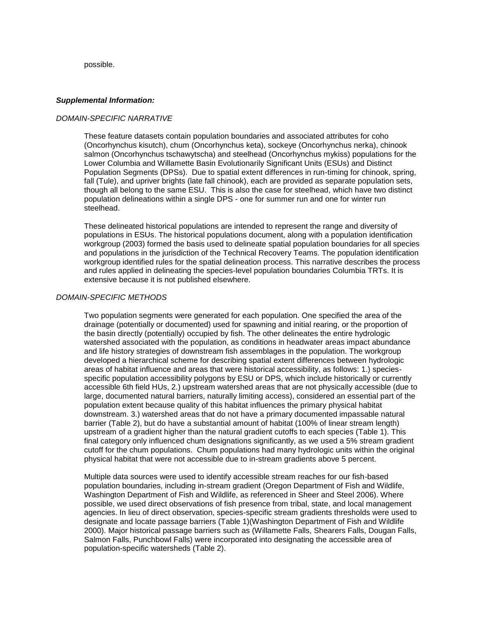possible.

## *Supplemental Information:*

## *DOMAIN-SPECIFIC NARRATIVE*

These feature datasets contain population boundaries and associated attributes for coho (Oncorhynchus kisutch), chum (Oncorhynchus keta), sockeye (Oncorhynchus nerka), chinook salmon (Oncorhynchus tschawytscha) and steelhead (Oncorhynchus mykiss) populations for the Lower Columbia and Willamette Basin Evolutionarily Significant Units (ESUs) and Distinct Population Segments (DPSs). Due to spatial extent differences in run-timing for chinook, spring, fall (Tule), and upriver brights (late fall chinook), each are provided as separate population sets, though all belong to the same ESU. This is also the case for steelhead, which have two distinct population delineations within a single DPS - one for summer run and one for winter run steelhead.

These delineated historical populations are intended to represent the range and diversity of populations in ESUs. The historical populations document, along with a population identification workgroup (2003) formed the basis used to delineate spatial population boundaries for all species and populations in the jurisdiction of the Technical Recovery Teams. The population identification workgroup identified rules for the spatial delineation process. This narrative describes the process and rules applied in delineating the species-level population boundaries Columbia TRTs. It is extensive because it is not published elsewhere.

## *DOMAIN-SPECIFIC METHODS*

Two population segments were generated for each population. One specified the area of the drainage (potentially or documented) used for spawning and initial rearing, or the proportion of the basin directly (potentially) occupied by fish. The other delineates the entire hydrologic watershed associated with the population, as conditions in headwater areas impact abundance and life history strategies of downstream fish assemblages in the population. The workgroup developed a hierarchical scheme for describing spatial extent differences between hydrologic areas of habitat influence and areas that were historical accessibility, as follows: 1.) speciesspecific population accessibility polygons by ESU or DPS, which include historically or currently accessible 6th field HUs, 2.) upstream watershed areas that are not physically accessible (due to large, documented natural barriers, naturally limiting access), considered an essential part of the population extent because quality of this habitat influences the primary physical habitat downstream. 3.) watershed areas that do not have a primary documented impassable natural barrier (Table 2), but do have a substantial amount of habitat (100% of linear stream length) upstream of a gradient higher than the natural gradient cutoffs to each species (Table 1). This final category only influenced chum designations significantly, as we used a 5% stream gradient cutoff for the chum populations. Chum populations had many hydrologic units within the original physical habitat that were not accessible due to in-stream gradients above 5 percent.

Multiple data sources were used to identify accessible stream reaches for our fish-based population boundaries, including in-stream gradient (Oregon Department of Fish and Wildlife, Washington Department of Fish and Wildlife, as referenced in Sheer and Steel 2006). Where possible, we used direct observations of fish presence from tribal, state, and local management agencies. In lieu of direct observation, species-specific stream gradients thresholds were used to designate and locate passage barriers (Table 1)(Washington Department of Fish and Wildlife 2000). Major historical passage barriers such as (Willamette Falls, Shearers Falls, Dougan Falls, Salmon Falls, Punchbowl Falls) were incorporated into designating the accessible area of population-specific watersheds (Table 2).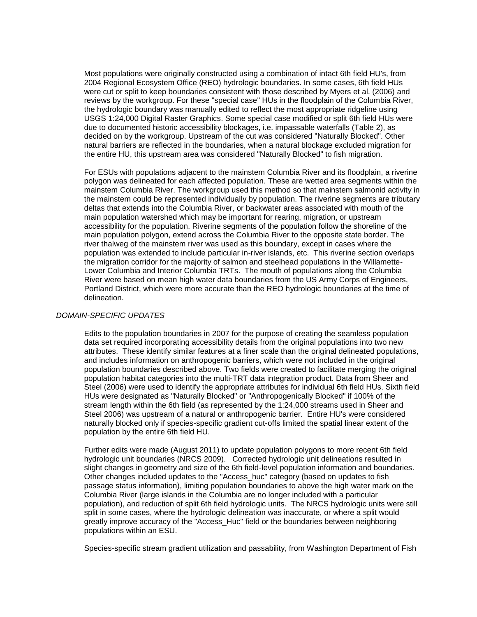Most populations were originally constructed using a combination of intact 6th field HU's, from 2004 Regional Ecosystem Office (REO) hydrologic boundaries. In some cases, 6th field HUs were cut or split to keep boundaries consistent with those described by Myers et al. (2006) and reviews by the workgroup. For these "special case" HUs in the floodplain of the Columbia River, the hydrologic boundary was manually edited to reflect the most appropriate ridgeline using USGS 1:24,000 Digital Raster Graphics. Some special case modified or split 6th field HUs were due to documented historic accessibility blockages, i.e. impassable waterfalls (Table 2), as decided on by the workgroup. Upstream of the cut was considered "Naturally Blocked". Other natural barriers are reflected in the boundaries, when a natural blockage excluded migration for the entire HU, this upstream area was considered "Naturally Blocked" to fish migration.

For ESUs with populations adjacent to the mainstem Columbia River and its floodplain, a riverine polygon was delineated for each affected population. These are wetted area segments within the mainstem Columbia River. The workgroup used this method so that mainstem salmonid activity in the mainstem could be represented individually by population. The riverine segments are tributary deltas that extends into the Columbia River, or backwater areas associated with mouth of the main population watershed which may be important for rearing, migration, or upstream accessibility for the population. Riverine segments of the population follow the shoreline of the main population polygon, extend across the Columbia River to the opposite state border. The river thalweg of the mainstem river was used as this boundary, except in cases where the population was extended to include particular in-river islands, etc. This riverine section overlaps the migration corridor for the majority of salmon and steelhead populations in the Willamette-Lower Columbia and Interior Columbia TRTs. The mouth of populations along the Columbia River were based on mean high water data boundaries from the US Army Corps of Engineers, Portland District, which were more accurate than the REO hydrologic boundaries at the time of delineation.

# *DOMAIN-SPECIFIC UPDATES*

Edits to the population boundaries in 2007 for the purpose of creating the seamless population data set required incorporating accessibility details from the original populations into two new attributes. These identify similar features at a finer scale than the original delineated populations, and includes information on anthropogenic barriers, which were not included in the original population boundaries described above. Two fields were created to facilitate merging the original population habitat categories into the multi-TRT data integration product. Data from Sheer and Steel (2006) were used to identify the appropriate attributes for individual 6th field HUs. Sixth field HUs were designated as "Naturally Blocked" or "Anthropogenically Blocked" if 100% of the stream length within the 6th field (as represented by the 1:24,000 streams used in Sheer and Steel 2006) was upstream of a natural or anthropogenic barrier. Entire HU's were considered naturally blocked only if species-specific gradient cut-offs limited the spatial linear extent of the population by the entire 6th field HU.

Further edits were made (August 2011) to update population polygons to more recent 6th field hydrologic unit boundaries (NRCS 2009). Corrected hydrologic unit delineations resulted in slight changes in geometry and size of the 6th field-level population information and boundaries. Other changes included updates to the "Access\_huc" category (based on updates to fish passage status information), limiting population boundaries to above the high water mark on the Columbia River (large islands in the Columbia are no longer included with a particular population), and reduction of split 6th field hydrologic units. The NRCS hydrologic units were still split in some cases, where the hydrologic delineation was inaccurate, or where a split would greatly improve accuracy of the "Access\_Huc" field or the boundaries between neighboring populations within an ESU.

Species-specific stream gradient utilization and passability, from Washington Department of Fish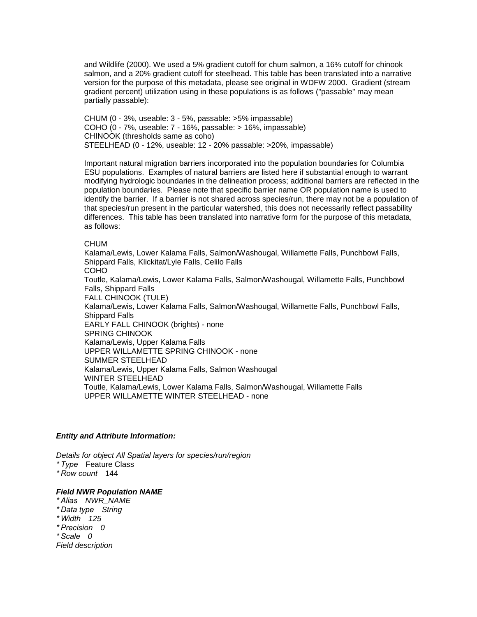and Wildlife (2000). We used a 5% gradient cutoff for chum salmon, a 16% cutoff for chinook salmon, and a 20% gradient cutoff for steelhead. This table has been translated into a narrative version for the purpose of this metadata, please see original in WDFW 2000. Gradient (stream gradient percent) utilization using in these populations is as follows ("passable" may mean partially passable):

CHUM (0 - 3%, useable: 3 - 5%, passable: >5% impassable) COHO (0 - 7%, useable: 7 - 16%, passable: > 16%, impassable) CHINOOK (thresholds same as coho) STEELHEAD (0 - 12%, useable: 12 - 20% passable: >20%, impassable)

Important natural migration barriers incorporated into the population boundaries for Columbia ESU populations. Examples of natural barriers are listed here if substantial enough to warrant modifying hydrologic boundaries in the delineation process; additional barriers are reflected in the population boundaries. Please note that specific barrier name OR population name is used to identify the barrier. If a barrier is not shared across species/run, there may not be a population of that species/run present in the particular watershed, this does not necessarily reflect passability differences. This table has been translated into narrative form for the purpose of this metadata, as follows:

## CHUM

Kalama/Lewis, Lower Kalama Falls, Salmon/Washougal, Willamette Falls, Punchbowl Falls, Shippard Falls, Klickitat/Lyle Falls, Celilo Falls COHO Toutle, Kalama/Lewis, Lower Kalama Falls, Salmon/Washougal, Willamette Falls, Punchbowl Falls, Shippard Falls FALL CHINOOK (TULE) Kalama/Lewis, Lower Kalama Falls, Salmon/Washougal, Willamette Falls, Punchbowl Falls, Shippard Falls EARLY FALL CHINOOK (brights) - none SPRING CHINOOK Kalama/Lewis, Upper Kalama Falls UPPER WILLAMETTE SPRING CHINOOK - none SUMMER STEELHEAD Kalama/Lewis, Upper Kalama Falls, Salmon Washougal WINTER STEELHEAD Toutle, Kalama/Lewis, Lower Kalama Falls, Salmon/Washougal, Willamette Falls UPPER WILLAMETTE WINTER STEELHEAD - none

# *Entity and Attribute Information:*

*Details for object All Spatial layers for species/run/region \* Type* Feature Class *\* Row count* 144

#### *Field [NWR Population NAME](file:///C:/Users/keld.CRITFCLCL/AppData/Local/Temp/2/tmpD83B.tmp.html%23ID0EOAOA)*

*\* Alias NWR\_NAME \* Data type String \* Width 125 \* Precision 0* 

*\* Scale 0* 

*Field description*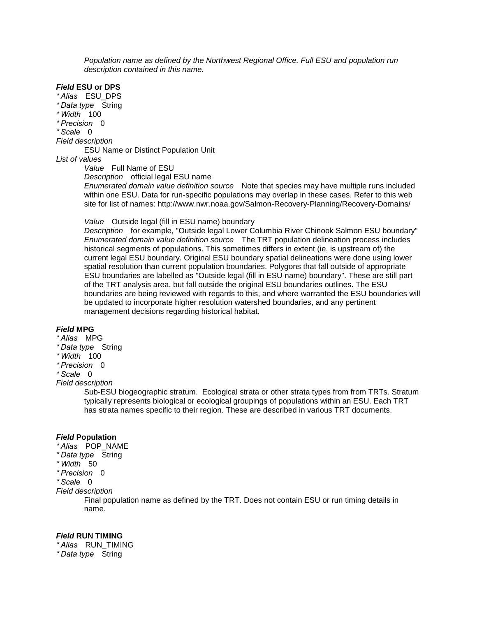*Population name as defined by the Northwest Regional Office. Full ESU and population run description contained in this name.*

# *Field* **[ESU or DPS](file:///C:/Users/keld.CRITFCLCL/AppData/Local/Temp/2/tmpD83B.tmp.html%23ID0ETAOA)**

*\* Alias* ESU\_DPS

- *\* Data type* String
- *\* Width* 100
- *\* Precision* 0
- *\* Scale* 0

*Field description* 

ESU Name or Distinct Population Unit

# *List of values*

*Value* Full Name of ESU

*Description* official legal ESU name

*Enumerated domain value definition source* Note that species may have multiple runs included within one ESU. Data for run-specific populations may overlap in these cases. Refer to this web site for list of names: http://www.nwr.noaa.gov/Salmon-Recovery-Planning/Recovery-Domains/

*Value* Outside legal (fill in ESU name) boundary

*Description* for example, "Outside legal Lower Columbia River Chinook Salmon ESU boundary" *Enumerated domain value definition source* The TRT population delineation process includes historical segments of populations. This sometimes differs in extent (ie, is upstream of) the current legal ESU boundary. Original ESU boundary spatial delineations were done using lower spatial resolution than current population boundaries. Polygons that fall outside of appropriate ESU boundaries are labelled as "Outside legal (fill in ESU name) boundary". These are still part of the TRT analysis area, but fall outside the original ESU boundaries outlines. The ESU boundaries are being reviewed with regards to this, and where warranted the ESU boundaries will be updated to incorporate higher resolution watershed boundaries, and any pertinent management decisions regarding historical habitat.

# *[Field](file:///C:/Users/keld.CRITFCLCL/AppData/Local/Temp/2/tmpD83B.tmp.html%23ID0ESAOA)* **MPG**

- *\* Alias* MPG
- *\* Data type* String
- *\* Width* 100
- *\* Precision* 0

*\* Scale* 0

*Field description* 

Sub-ESU biogeographic stratum. Ecological strata or other strata types from from TRTs. Stratum typically represents biological or ecological groupings of populations within an ESU. Each TRT has strata names specific to their region. These are described in various TRT documents*.*

# *Field* **[Population](file:///C:/Users/keld.CRITFCLCL/AppData/Local/Temp/2/tmpD83B.tmp.html%23ID0ERAOA)**

- *\* Alias* POP\_NAME
- *\* Data type* String
- *\* Width* 50
- *\* Precision* 0
- *\* Scale* 0

*Field description* 

Final population name as defined by the TRT. Does not contain ESU or run timing details in name.

# *Field* **[RUN TIMING](file:///C:/Users/keld.CRITFCLCL/AppData/Local/Temp/2/tmpD83B.tmp.html%23ID0EUAOA)**

*\* Alias* RUN\_TIMING

*\* Data type* String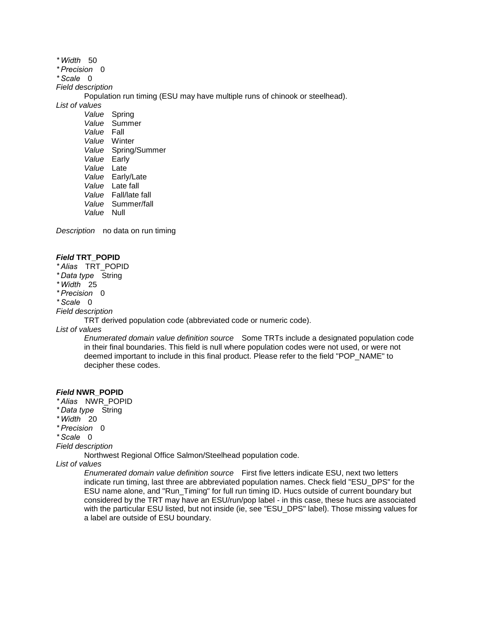*\* Width* 50 *\* Precision* 0 *\* Scale* 0 *Field description*  Population run timing (ESU may have multiple runs of chinook or steelhead). *List of values Value* Spring *Value* Summer *Value* Fall *Value* Winter *Value* Spring/Summer *Value* Early *Value* Late *Value* Early/Late *Value* Late fall *Value* Fall/late fall *Value* Summer/fall

*Value* Null

*Description* no data on run timing

## *Field* **[TRT\\_POPID](file:///C:/Users/keld.CRITFCLCL/AppData/Local/Temp/2/tmpD83B.tmp.html%23ID0EQAOA)**

- *\* Alias* TRT\_POPID
- *\* Data type* String
- *\* Width* 25
- *\* Precision* 0
- *\* Scale* 0

#### *Field description*

TRT derived population code (abbreviated code or numeric code).

# *List of values*

*Enumerated domain value definition source* Some TRTs include a designated population code in their final boundaries. This field is null where population codes were not used, or were not deemed important to include in this final product. Please refer to the field "POP\_NAME" to decipher these codes.

#### *Field* **[NWR\\_POPID](file:///C:/Users/keld.CRITFCLCL/AppData/Local/Temp/2/tmpD83B.tmp.html%23ID0EPAOA)**

- *\* Alias* NWR\_POPID
- *\* Data type* String
- *\* Width* 20
- *\* Precision* 0
- *\* Scale* 0
- *Field description*

Northwest Regional Office Salmon/Steelhead population code.

#### *List of values*

*Enumerated domain value definition source* First five letters indicate ESU, next two letters indicate run timing, last three are abbreviated population names. Check field "ESU\_DPS" for the ESU name alone, and "Run\_Timing" for full run timing ID. Hucs outside of current boundary but considered by the TRT may have an ESU/run/pop label - in this case, these hucs are associated with the particular ESU listed, but not inside (ie, see "ESU\_DPS" label). Those missing values for a label are outside of ESU boundary.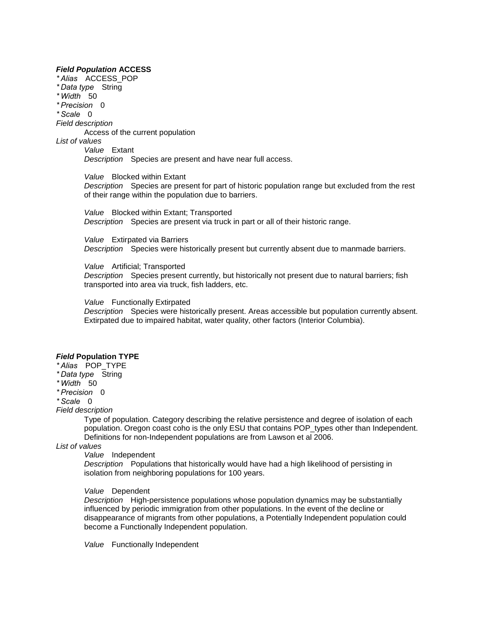#### *Field [Population](file:///C:/Users/keld.CRITFCLCL/AppData/Local/Temp/2/tmpD83B.tmp.html%23ID0EMAOA)* **ACCESS**

*\* Alias* ACCESS\_POP *\* Data type* String *\* Width* 50 *\* Precision* 0 *\* Scale* 0 *Field description*  Access of the current population *List of values Value* Extant *Description* Species are present and have near full access. *Value* Blocked within Extant

> *Description* Species are present for part of historic population range but excluded from the rest of their range within the population due to barriers.

*Value* Blocked within Extant; Transported *Description* Species are present via truck in part or all of their historic range.

*Value* Extirpated via Barriers *Description* Species were historically present but currently absent due to manmade barriers.

*Value* Artificial; Transported

*Description* Species present currently, but historically not present due to natural barriers; fish transported into area via truck, fish ladders, etc.

*Value* Functionally Extirpated

*Description* Species were historically present. Areas accessible but population currently absent. Extirpated due to impaired habitat, water quality, other factors (Interior Columbia).

## *Field* **[Population TYPE](file:///C:/Users/keld.CRITFCLCL/AppData/Local/Temp/2/tmpD83B.tmp.html%23ID0ENAOA)**

*\* Alias* POP\_TYPE

*\* Data type* String

*\* Width* 50

*\* Precision* 0

*\* Scale* 0

*Field description* 

Type of population. Category describing the relative persistence and degree of isolation of each population. Oregon coast coho is the only ESU that contains POP\_types other than Independent. Definitions for non-Independent populations are from Lawson et al 2006.

*List of values*

*Value* Independent

*Description* Populations that historically would have had a high likelihood of persisting in isolation from neighboring populations for 100 years.

#### *Value* Dependent

*Description* High-persistence populations whose population dynamics may be substantially influenced by periodic immigration from other populations. In the event of the decline or disappearance of migrants from other populations, a Potentially Independent population could become a Functionally Independent population.

*Value* Functionally Independent